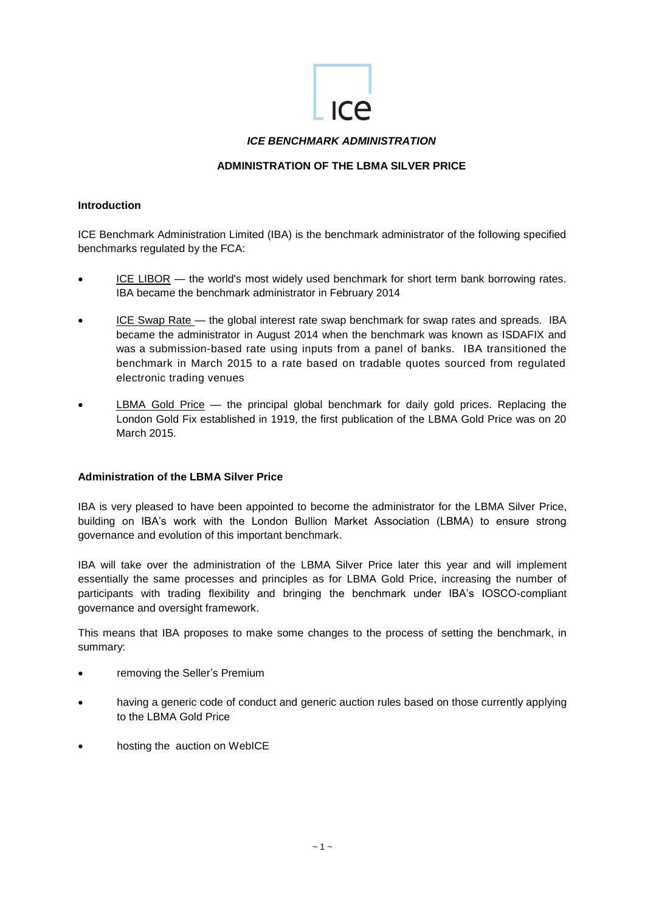

## *ICE BENCHMARK ADMINISTRATION*

## **ADMINISTRATION OF THE LBMA SILVER PRICE**

### **Introduction**

ICE Benchmark Administration Limited (IBA) is the benchmark administrator of the following specified benchmarks regulated by the FCA:

- [ICE LIBOR](https://www.theice.com/iba/libor) the world's most widely used benchmark for short term bank borrowing rates. IBA became the benchmark administrator in February 2014
- [ICE Swap Rate](https://www.theice.com/iba/ice-swap-rate) the global interest rate swap benchmark for swap rates and spreads. IBA became the administrator in August 2014 when the benchmark was known as ISDAFIX and was a submission-based rate using inputs from a panel of banks. IBA transitioned the benchmark in March 2015 to a rate based on tradable quotes sourced from regulated electronic trading venues
- [LBMA Gold Price](https://www.theice.com/iba/lbma-gold-price) the principal global benchmark for daily gold prices. Replacing the London Gold Fix established in 1919, the first publication of the LBMA Gold Price was on 20 March 2015.

## **Administration of the LBMA Silver Price**

IBA is very pleased to have been appointed to become the administrator for the LBMA Silver Price, building on IBA's work with the London Bullion Market Association (LBMA) to ensure strong governance and evolution of this important benchmark.

IBA will take over the administration of the LBMA Silver Price later this year and will implement essentially the same processes and principles as for LBMA Gold Price, increasing the number of participants with trading flexibility and bringing the benchmark under IBA's IOSCO-compliant governance and oversight framework.

This means that IBA proposes to make some changes to the process of setting the benchmark, in summary:

- removing the Seller's Premium
- having a generic code of conduct and generic auction rules based on those currently applying to the LBMA Gold Price
- hosting the auction on WebICE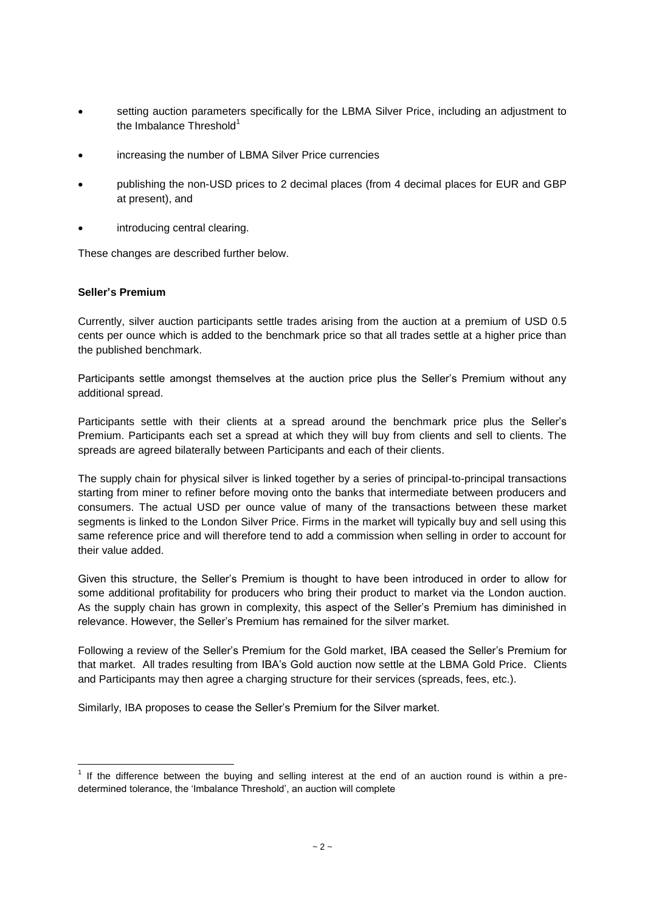- setting auction parameters specifically for the LBMA Silver Price, including an adjustment to the Imbalance Threshold $<sup>1</sup>$ </sup>
- increasing the number of LBMA Silver Price currencies
- publishing the non-USD prices to 2 decimal places (from 4 decimal places for EUR and GBP at present), and
- introducing central clearing.

These changes are described further below.

## **Seller's Premium**

Currently, silver auction participants settle trades arising from the auction at a premium of USD 0.5 cents per ounce which is added to the benchmark price so that all trades settle at a higher price than the published benchmark.

Participants settle amongst themselves at the auction price plus the Seller's Premium without any additional spread.

Participants settle with their clients at a spread around the benchmark price plus the Seller's Premium. Participants each set a spread at which they will buy from clients and sell to clients. The spreads are agreed bilaterally between Participants and each of their clients.

The supply chain for physical silver is linked together by a series of principal-to-principal transactions starting from miner to refiner before moving onto the banks that intermediate between producers and consumers. The actual USD per ounce value of many of the transactions between these market segments is linked to the London Silver Price. Firms in the market will typically buy and sell using this same reference price and will therefore tend to add a commission when selling in order to account for their value added.

Given this structure, the Seller's Premium is thought to have been introduced in order to allow for some additional profitability for producers who bring their product to market via the London auction. As the supply chain has grown in complexity, this aspect of the Seller's Premium has diminished in relevance. However, the Seller's Premium has remained for the silver market.

Following a review of the Seller's Premium for the Gold market, IBA ceased the Seller's Premium for that market. All trades resulting from IBA's Gold auction now settle at the LBMA Gold Price. Clients and Participants may then agree a charging structure for their services (spreads, fees, etc.).

Similarly, IBA proposes to cease the Seller's Premium for the Silver market.

 $\overline{\phantom{a}}$  $1$  If the difference between the buying and selling interest at the end of an auction round is within a predetermined tolerance, the 'Imbalance Threshold', an auction will complete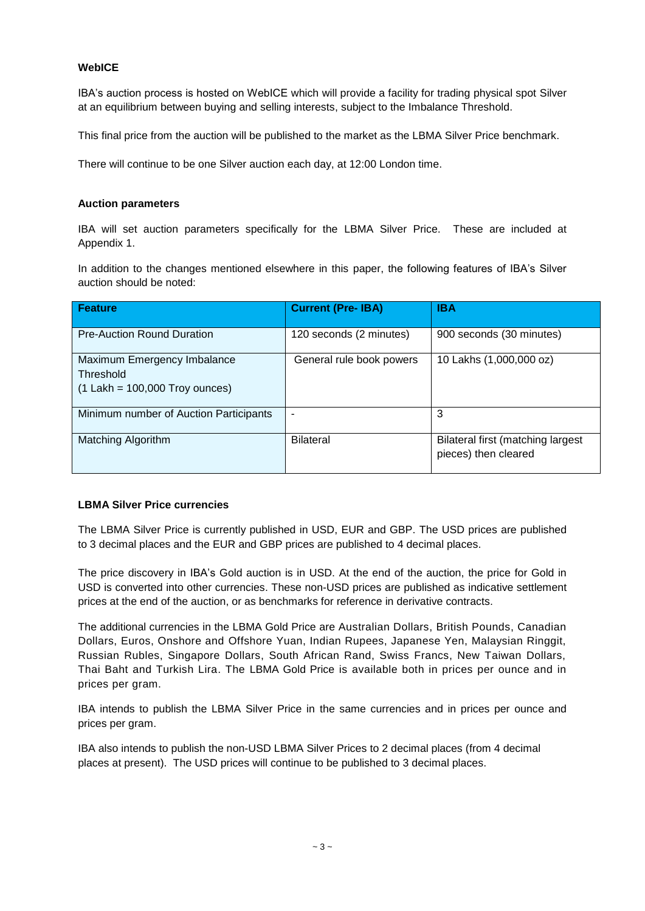## **WebICE**

IBA's auction process is hosted on WebICE which will provide a facility for trading physical spot Silver at an equilibrium between buying and selling interests, subject to the Imbalance Threshold.

This final price from the auction will be published to the market as the LBMA Silver Price benchmark.

There will continue to be one Silver auction each day, at 12:00 London time.

### **Auction parameters**

IBA will set auction parameters specifically for the LBMA Silver Price. These are included at Appendix 1.

In addition to the changes mentioned elsewhere in this paper, the following features of IBA's Silver auction should be noted:

| Feature                                                                      | <b>Current (Pre- IBA)</b> | <b>IBA</b>                                                |
|------------------------------------------------------------------------------|---------------------------|-----------------------------------------------------------|
| <b>Pre-Auction Round Duration</b>                                            | 120 seconds (2 minutes)   | 900 seconds (30 minutes)                                  |
| Maximum Emergency Imbalance<br>Threshold<br>$(1$ Lakh = 100,000 Troy ounces) | General rule book powers  | 10 Lakhs (1,000,000 oz)                                   |
| Minimum number of Auction Participants                                       |                           | 3                                                         |
| Matching Algorithm                                                           | <b>Bilateral</b>          | Bilateral first (matching largest<br>pieces) then cleared |

## **LBMA Silver Price currencies**

The LBMA Silver Price is currently published in USD, EUR and GBP. The USD prices are published to 3 decimal places and the EUR and GBP prices are published to 4 decimal places.

The price discovery in IBA's Gold auction is in USD. At the end of the auction, the price for Gold in USD is converted into other currencies. These non-USD prices are published as indicative settlement prices at the end of the auction, or as benchmarks for reference in derivative contracts.

The additional currencies in the LBMA Gold Price are Australian Dollars, British Pounds, Canadian Dollars, Euros, Onshore and Offshore Yuan, Indian Rupees, Japanese Yen, Malaysian Ringgit, Russian Rubles, Singapore Dollars, South African Rand, Swiss Francs, New Taiwan Dollars, Thai Baht and Turkish Lira. The LBMA Gold Price is available both in prices per ounce and in prices per gram.

IBA intends to publish the LBMA Silver Price in the same currencies and in prices per ounce and prices per gram.

IBA also intends to publish the non-USD LBMA Silver Prices to 2 decimal places (from 4 decimal places at present). The USD prices will continue to be published to 3 decimal places.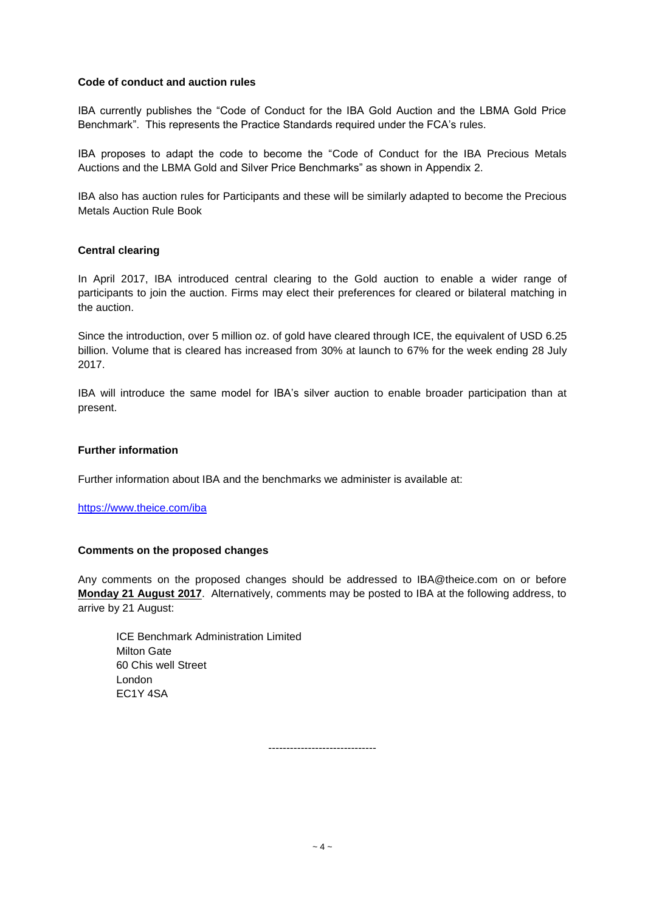## **Code of conduct and auction rules**

IBA currently publishes the "Code of Conduct for the IBA Gold Auction and the LBMA Gold Price Benchmark". This represents the Practice Standards required under the FCA's rules.

IBA proposes to adapt the code to become the "Code of Conduct for the IBA Precious Metals Auctions and the LBMA Gold and Silver Price Benchmarks" as shown in Appendix 2.

IBA also has auction rules for Participants and these will be similarly adapted to become the Precious Metals Auction Rule Book

## **Central clearing**

In April 2017, IBA introduced central clearing to the Gold auction to enable a wider range of participants to join the auction. Firms may elect their preferences for cleared or bilateral matching in the auction.

Since the introduction, over 5 million oz. of gold have cleared through ICE, the equivalent of USD 6.25 billion. Volume that is cleared has increased from 30% at launch to 67% for the week ending 28 July 2017.

IBA will introduce the same model for IBA's silver auction to enable broader participation than at present.

### **Further information**

Further information about IBA and the benchmarks we administer is available at:

<https://www.theice.com/iba>

#### **Comments on the proposed changes**

Any comments on the proposed changes should be addressed to IBA@theice.com on or before **Monday 21 August 2017**. Alternatively, comments may be posted to IBA at the following address, to arrive by 21 August:

ICE Benchmark Administration Limited Milton Gate 60 Chis well Street London EC1Y 4SA

 $\sim$  4  $\sim$ 

------------------------------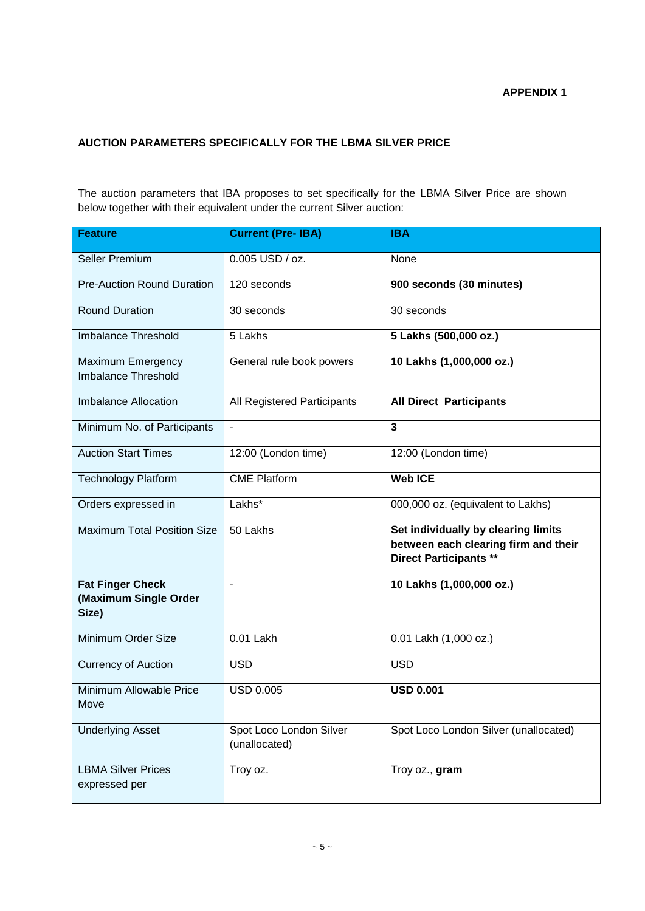## **APPENDIX 1**

## **AUCTION PARAMETERS SPECIFICALLY FOR THE LBMA SILVER PRICE**

The auction parameters that IBA proposes to set specifically for the LBMA Silver Price are shown below together with their equivalent under the current Silver auction:

| <b>Feature</b>                                            | <b>Current (Pre- IBA)</b>                | <b>IBA</b>                                                                                                   |
|-----------------------------------------------------------|------------------------------------------|--------------------------------------------------------------------------------------------------------------|
| <b>Seller Premium</b>                                     | 0.005 USD / oz.                          | None                                                                                                         |
| <b>Pre-Auction Round Duration</b>                         | 120 seconds                              | 900 seconds (30 minutes)                                                                                     |
| <b>Round Duration</b>                                     | 30 seconds                               | 30 seconds                                                                                                   |
| Imbalance Threshold                                       | 5 Lakhs                                  | 5 Lakhs (500,000 oz.)                                                                                        |
| Maximum Emergency<br>Imbalance Threshold                  | General rule book powers                 | 10 Lakhs (1,000,000 oz.)                                                                                     |
| <b>Imbalance Allocation</b>                               | All Registered Participants              | <b>All Direct Participants</b>                                                                               |
| Minimum No. of Participants                               | $\qquad \qquad \blacksquare$             | 3                                                                                                            |
| <b>Auction Start Times</b>                                | 12:00 (London time)                      | 12:00 (London time)                                                                                          |
| <b>Technology Platform</b>                                | <b>CME Platform</b>                      | <b>Web ICE</b>                                                                                               |
| Orders expressed in                                       | Lakhs*                                   | 000,000 oz. (equivalent to Lakhs)                                                                            |
| <b>Maximum Total Position Size</b>                        | 50 Lakhs                                 | Set individually by clearing limits<br>between each clearing firm and their<br><b>Direct Participants **</b> |
| <b>Fat Finger Check</b><br>(Maximum Single Order<br>Size) | $\overline{\phantom{0}}$                 | 10 Lakhs (1,000,000 oz.)                                                                                     |
| Minimum Order Size                                        | 0.01 Lakh                                | 0.01 Lakh (1,000 oz.)                                                                                        |
| <b>Currency of Auction</b>                                | <b>USD</b>                               | <b>USD</b>                                                                                                   |
| Minimum Allowable Price<br>Move                           | <b>USD 0.005</b>                         | <b>USD 0.001</b>                                                                                             |
| <b>Underlying Asset</b>                                   | Spot Loco London Silver<br>(unallocated) | Spot Loco London Silver (unallocated)                                                                        |
| <b>LBMA Silver Prices</b><br>expressed per                | Troy oz.                                 | Troy oz., gram                                                                                               |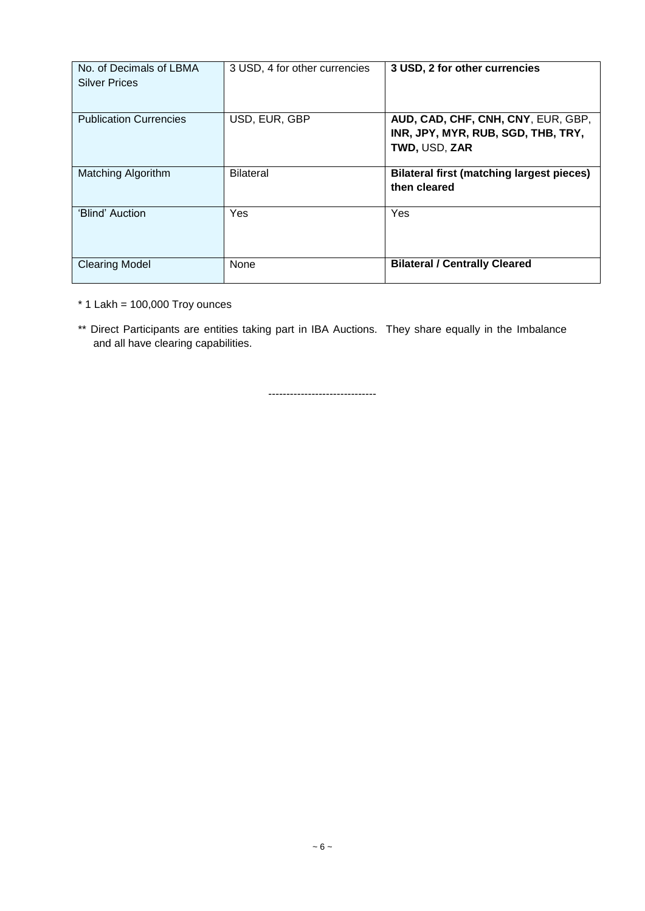| No. of Decimals of LBMA<br><b>Silver Prices</b> | 3 USD, 4 for other currencies | 3 USD, 2 for other currencies                                                             |
|-------------------------------------------------|-------------------------------|-------------------------------------------------------------------------------------------|
| <b>Publication Currencies</b>                   | USD, EUR, GBP                 | AUD, CAD, CHF, CNH, CNY, EUR, GBP,<br>INR, JPY, MYR, RUB, SGD, THB, TRY,<br>TWD, USD, ZAR |
| Matching Algorithm                              | <b>Bilateral</b>              | <b>Bilateral first (matching largest pieces)</b><br>then cleared                          |
| 'Blind' Auction                                 | Yes                           | Yes                                                                                       |
| <b>Clearing Model</b>                           | None                          | <b>Bilateral / Centrally Cleared</b>                                                      |

 $*$  1 Lakh = 100,000 Troy ounces

\*\* Direct Participants are entities taking part in IBA Auctions. They share equally in the Imbalance and all have clearing capabilities.

------------------------------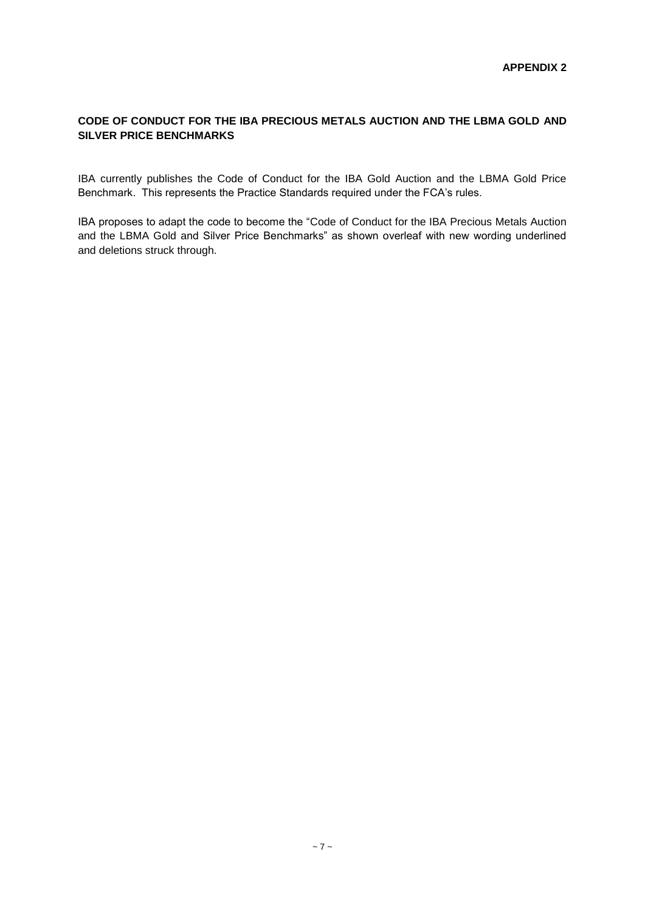## **CODE OF CONDUCT FOR THE IBA PRECIOUS METALS AUCTION AND THE LBMA GOLD AND SILVER PRICE BENCHMARKS**

IBA currently publishes the Code of Conduct for the IBA Gold Auction and the LBMA Gold Price Benchmark. This represents the Practice Standards required under the FCA's rules.

IBA proposes to adapt the code to become the "Code of Conduct for the IBA Precious Metals Auction and the LBMA Gold and Silver Price Benchmarks" as shown overleaf with new wording underlined and deletions struck through.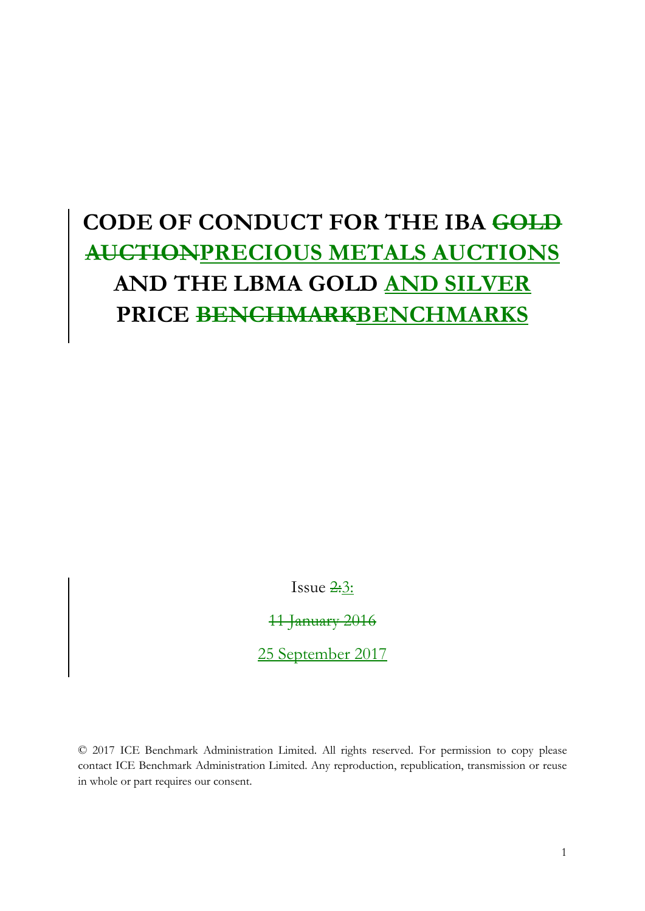# **CODE OF CONDUCT FOR THE IBA GOLD AUCTIONPRECIOUS METALS AUCTIONS AND THE LBMA GOLD AND SILVER PRICE BENCHMARKBENCHMARKS**

Issue  $2:3$ :

11 January 2016

25 September 2017

© 2017 ICE Benchmark Administration Limited. All rights reserved. For permission to copy please contact ICE Benchmark Administration Limited. Any reproduction, republication, transmission or reuse in whole or part requires our consent.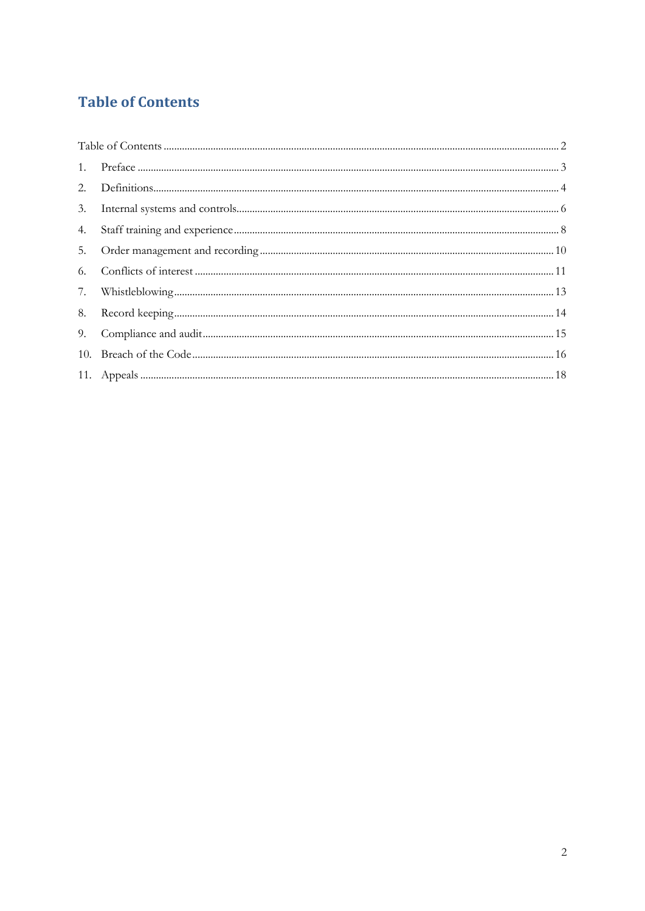# <span id="page-8-0"></span>**Table of Contents**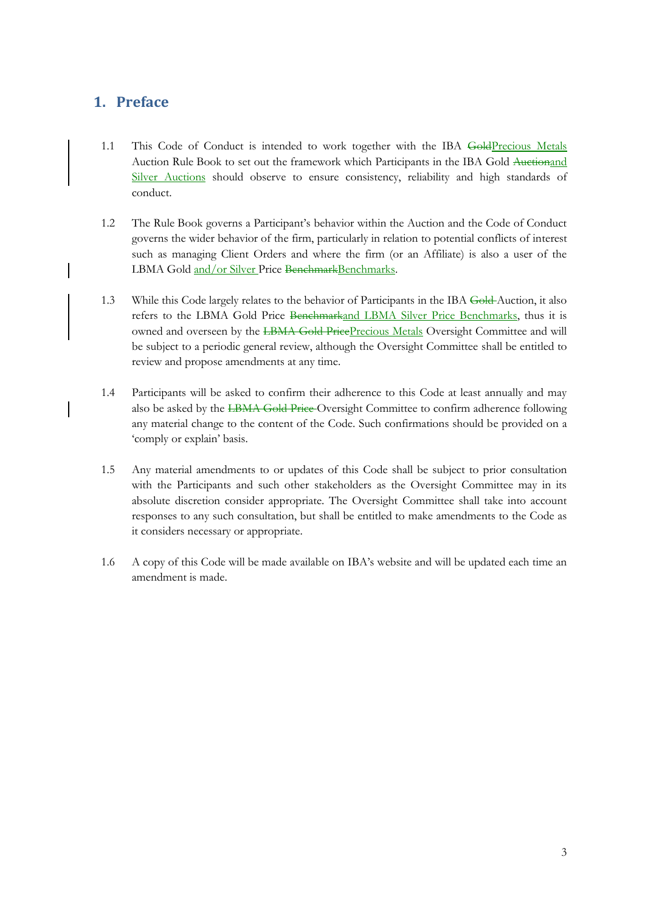# <span id="page-9-0"></span>**1. Preface**

- 1.1 This Code of Conduct is intended to work together with the IBA GoldPrecious Metals Auction Rule Book to set out the framework which Participants in the IBA Gold Auctionand Silver Auctions should observe to ensure consistency, reliability and high standards of conduct.
- 1.2 The Rule Book governs a Participant's behavior within the Auction and the Code of Conduct governs the wider behavior of the firm, particularly in relation to potential conflicts of interest such as managing Client Orders and where the firm (or an Affiliate) is also a user of the LBMA Gold and/or Silver Price BenchmarkBenchmarks.
- 1.3 While this Code largely relates to the behavior of Participants in the IBA Gold Auction, it also refers to the LBMA Gold Price Benchmarkand LBMA Silver Price Benchmarks, thus it is owned and overseen by the LBMA Gold PricePrecious Metals Oversight Committee and will be subject to a periodic general review, although the Oversight Committee shall be entitled to review and propose amendments at any time.
- 1.4 Participants will be asked to confirm their adherence to this Code at least annually and may also be asked by the LBMA Gold Price Oversight Committee to confirm adherence following any material change to the content of the Code. Such confirmations should be provided on a 'comply or explain' basis.
- 1.5 Any material amendments to or updates of this Code shall be subject to prior consultation with the Participants and such other stakeholders as the Oversight Committee may in its absolute discretion consider appropriate. The Oversight Committee shall take into account responses to any such consultation, but shall be entitled to make amendments to the Code as it considers necessary or appropriate.
- 1.6 A copy of this Code will be made available on IBA's website and will be updated each time an amendment is made.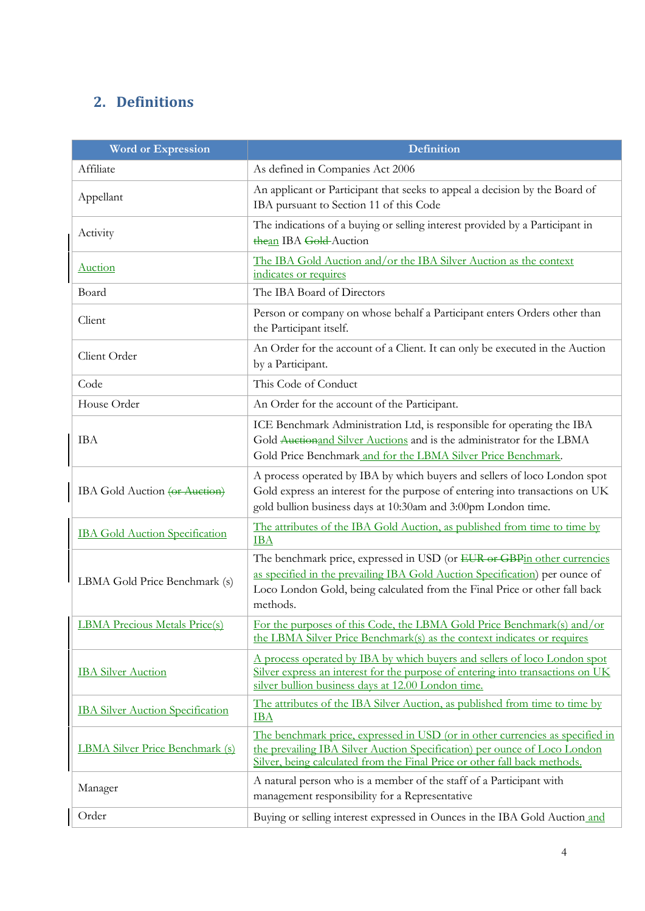# <span id="page-10-0"></span>**2. Definitions**

| <b>Word or Expression</b>               | <b>Definition</b>                                                                                                                                                                                                                                |
|-----------------------------------------|--------------------------------------------------------------------------------------------------------------------------------------------------------------------------------------------------------------------------------------------------|
| Affiliate                               | As defined in Companies Act 2006                                                                                                                                                                                                                 |
| Appellant                               | An applicant or Participant that seeks to appeal a decision by the Board of<br>IBA pursuant to Section 11 of this Code                                                                                                                           |
| Activity                                | The indications of a buying or selling interest provided by a Participant in<br>thean IBA Gold-Auction                                                                                                                                           |
| <b>Auction</b>                          | The IBA Gold Auction and/or the IBA Silver Auction as the context<br>indicates or requires                                                                                                                                                       |
| Board                                   | The IBA Board of Directors                                                                                                                                                                                                                       |
| Client                                  | Person or company on whose behalf a Participant enters Orders other than<br>the Participant itself.                                                                                                                                              |
| Client Order                            | An Order for the account of a Client. It can only be executed in the Auction<br>by a Participant.                                                                                                                                                |
| Code                                    | This Code of Conduct                                                                                                                                                                                                                             |
| House Order                             | An Order for the account of the Participant.                                                                                                                                                                                                     |
| <b>IBA</b>                              | ICE Benchmark Administration Ltd, is responsible for operating the IBA<br>Gold Auctionand Silver Auctions and is the administrator for the LBMA<br>Gold Price Benchmark and for the LBMA Silver Price Benchmark.                                 |
| IBA Gold Auction (or Auction)           | A process operated by IBA by which buyers and sellers of loco London spot<br>Gold express an interest for the purpose of entering into transactions on UK<br>gold bullion business days at 10:30am and 3:00pm London time.                       |
| <b>IBA Gold Auction Specification</b>   | The attributes of the IBA Gold Auction, as published from time to time by<br><b>IBA</b>                                                                                                                                                          |
| LBMA Gold Price Benchmark (s)           | The benchmark price, expressed in USD (or EUR or GBPin other currencies<br>as specified in the prevailing IBA Gold Auction Specification) per ounce of<br>Loco London Gold, being calculated from the Final Price or other fall back<br>methods. |
| <b>LBMA Precious Metals Price(s)</b>    | For the purposes of this Code, the LBMA Gold Price Benchmark(s) and/or<br>the LBMA Silver Price Benchmark(s) as the context indicates or requires                                                                                                |
| <b>IBA</b> Silver Auction               | A process operated by IBA by which buyers and sellers of loco London spot<br>Silver express an interest for the purpose of entering into transactions on UK<br>silver bullion business days at 12.00 London time.                                |
| <b>IBA Silver Auction Specification</b> | The attributes of the IBA Silver Auction, as published from time to time by<br><b>IBA</b>                                                                                                                                                        |
| <b>LBMA Silver Price Benchmark (s)</b>  | The benchmark price, expressed in USD (or in other currencies as specified in<br>the prevailing IBA Silver Auction Specification) per ounce of Loco London<br>Silver, being calculated from the Final Price or other fall back methods.          |
| Manager                                 | A natural person who is a member of the staff of a Participant with<br>management responsibility for a Representative                                                                                                                            |
| Order                                   | Buying or selling interest expressed in Ounces in the IBA Gold Auction and                                                                                                                                                                       |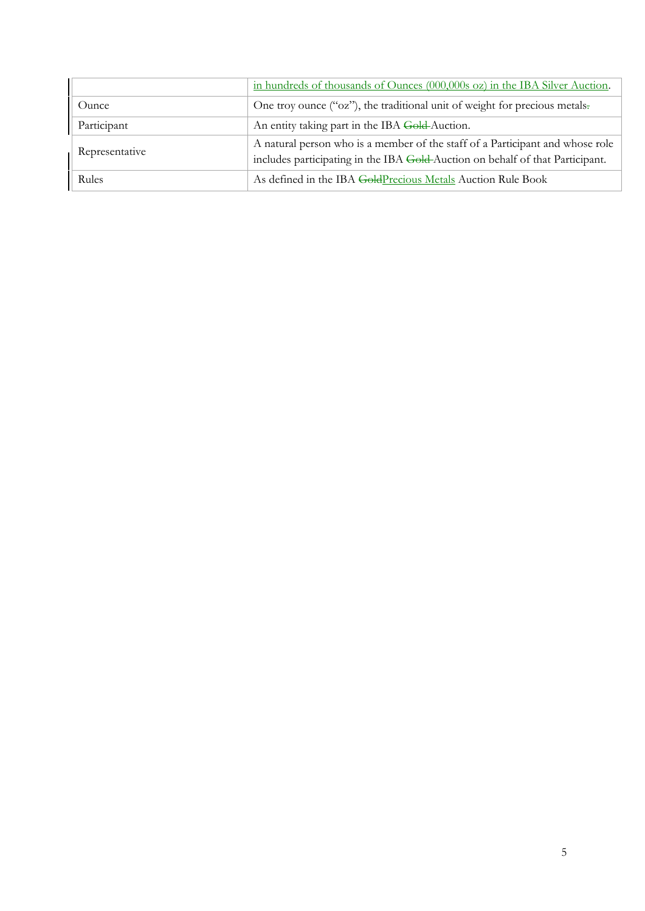|                | in hundreds of thousands of Ounces (000,000s oz) in the IBA Silver Auction.                                                                                    |
|----------------|----------------------------------------------------------------------------------------------------------------------------------------------------------------|
| Ounce          | One troy ounce ("oz"), the traditional unit of weight for precious metals.                                                                                     |
| Participant    | An entity taking part in the IBA Gold-Auction.                                                                                                                 |
| Representative | A natural person who is a member of the staff of a Participant and whose role<br>includes participating in the IBA Gold-Auction on behalf of that Participant. |
| Rules          | As defined in the IBA GoldPrecious Metals Auction Rule Book                                                                                                    |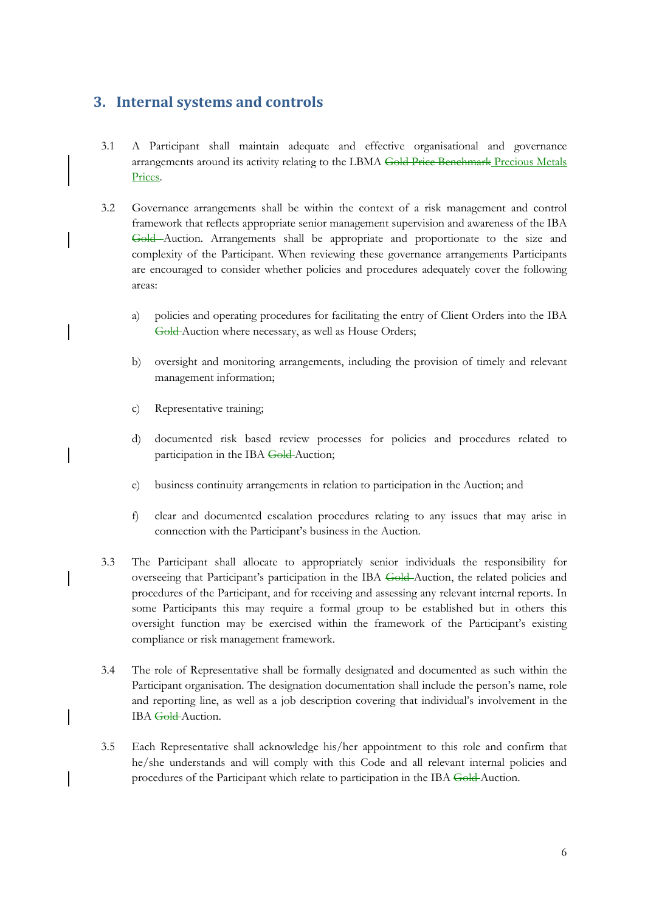# <span id="page-12-0"></span>**3. Internal systems and controls**

- 3.1 A Participant shall maintain adequate and effective organisational and governance arrangements around its activity relating to the LBMA Gold Price Benchmark Precious Metals Prices.
- 3.2 Governance arrangements shall be within the context of a risk management and control framework that reflects appropriate senior management supervision and awareness of the IBA Gold Auction. Arrangements shall be appropriate and proportionate to the size and complexity of the Participant. When reviewing these governance arrangements Participants are encouraged to consider whether policies and procedures adequately cover the following areas:
	- a) policies and operating procedures for facilitating the entry of Client Orders into the IBA Gold-Auction where necessary, as well as House Orders;
	- b) oversight and monitoring arrangements, including the provision of timely and relevant management information;
	- c) Representative training;
	- d) documented risk based review processes for policies and procedures related to participation in the IBA Gold-Auction;
	- e) business continuity arrangements in relation to participation in the Auction; and
	- f) clear and documented escalation procedures relating to any issues that may arise in connection with the Participant's business in the Auction.
- 3.3 The Participant shall allocate to appropriately senior individuals the responsibility for overseeing that Participant's participation in the IBA Gold Auction, the related policies and procedures of the Participant, and for receiving and assessing any relevant internal reports. In some Participants this may require a formal group to be established but in others this oversight function may be exercised within the framework of the Participant's existing compliance or risk management framework.
- 3.4 The role of Representative shall be formally designated and documented as such within the Participant organisation. The designation documentation shall include the person's name, role and reporting line, as well as a job description covering that individual's involvement in the IBA Gold-Auction.
- 3.5 Each Representative shall acknowledge his/her appointment to this role and confirm that he/she understands and will comply with this Code and all relevant internal policies and procedures of the Participant which relate to participation in the IBA Gold Auction.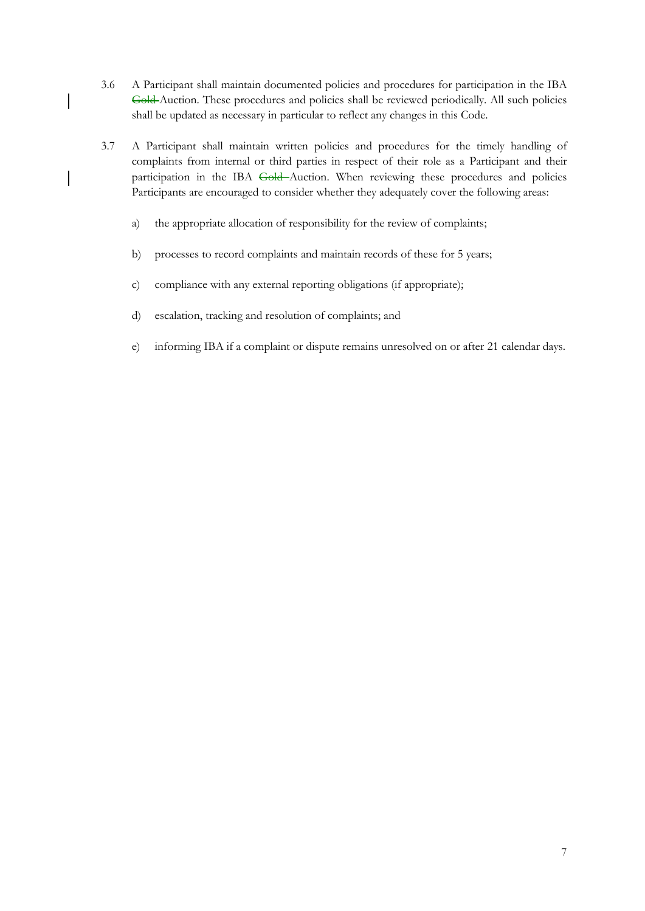- 3.6 A Participant shall maintain documented policies and procedures for participation in the IBA Gold Auction. These procedures and policies shall be reviewed periodically. All such policies shall be updated as necessary in particular to reflect any changes in this Code.
- 3.7 A Participant shall maintain written policies and procedures for the timely handling of complaints from internal or third parties in respect of their role as a Participant and their participation in the IBA Gold-Auction. When reviewing these procedures and policies Participants are encouraged to consider whether they adequately cover the following areas:
	- a) the appropriate allocation of responsibility for the review of complaints;
	- b) processes to record complaints and maintain records of these for 5 years;
	- c) compliance with any external reporting obligations (if appropriate);
	- d) escalation, tracking and resolution of complaints; and

 $\begin{array}{c} \hline \end{array}$ 

e) informing IBA if a complaint or dispute remains unresolved on or after 21 calendar days.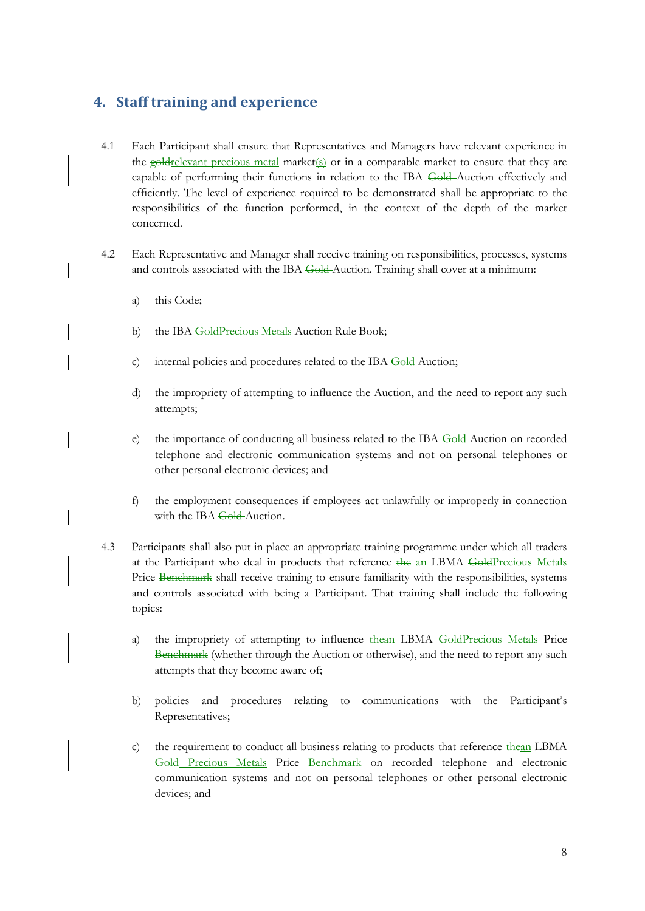# <span id="page-14-0"></span>**4. Staff training and experience**

- 4.1 Each Participant shall ensure that Representatives and Managers have relevant experience in the  $g$ oldrelevant precious metal market(s) or in a comparable market to ensure that they are capable of performing their functions in relation to the IBA Gold-Auction effectively and efficiently. The level of experience required to be demonstrated shall be appropriate to the responsibilities of the function performed, in the context of the depth of the market concerned.
- 4.2 Each Representative and Manager shall receive training on responsibilities, processes, systems and controls associated with the IBA Gold-Auction. Training shall cover at a minimum:
	- a) this Code;
	- b) the IBA GoldPrecious Metals Auction Rule Book;
	- c) internal policies and procedures related to the IBA Gold-Auction;
	- d) the impropriety of attempting to influence the Auction, and the need to report any such attempts;
	- e) the importance of conducting all business related to the IBA Gold-Auction on recorded telephone and electronic communication systems and not on personal telephones or other personal electronic devices; and
	- f) the employment consequences if employees act unlawfully or improperly in connection with the IBA Gold-Auction.
- 4.3 Participants shall also put in place an appropriate training programme under which all traders at the Participant who deal in products that reference the an LBMA GoldPrecious Metals Price Benchmark shall receive training to ensure familiarity with the responsibilities, systems and controls associated with being a Participant. That training shall include the following topics:
	- a) the impropriety of attempting to influence thean LBMA GoldPrecious Metals Price Benchmark (whether through the Auction or otherwise), and the need to report any such attempts that they become aware of;
	- b) policies and procedures relating to communications with the Participant's Representatives;
	- c) the requirement to conduct all business relating to products that reference thean LBMA Gold Precious Metals Price Benchmark on recorded telephone and electronic communication systems and not on personal telephones or other personal electronic devices; and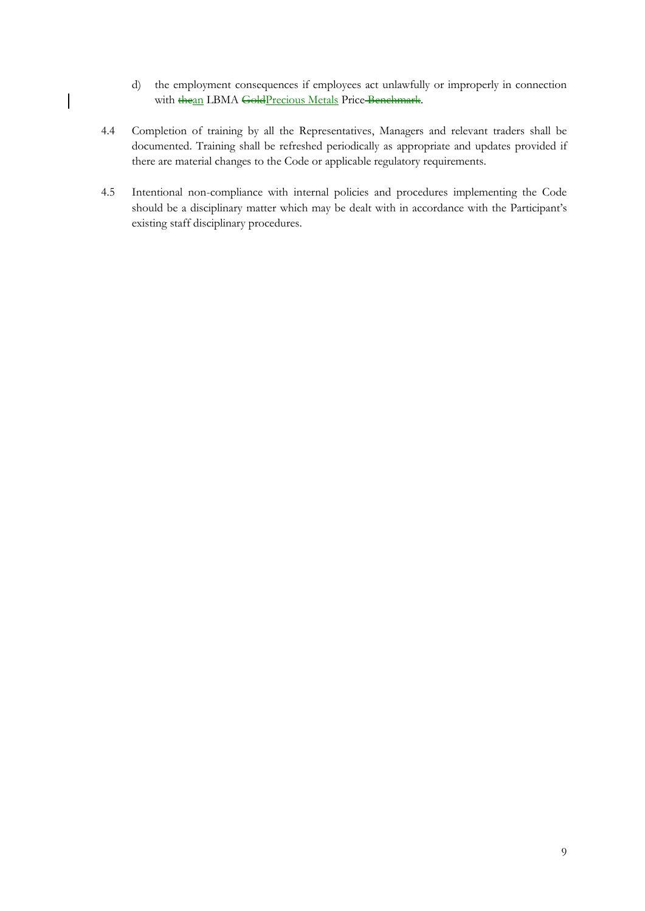- d) the employment consequences if employees act unlawfully or improperly in connection with thean LBMA GoldPrecious Metals Price Benchmark.
- 4.4 Completion of training by all the Representatives, Managers and relevant traders shall be documented. Training shall be refreshed periodically as appropriate and updates provided if there are material changes to the Code or applicable regulatory requirements.

 $\overline{\phantom{a}}$ 

4.5 Intentional non-compliance with internal policies and procedures implementing the Code should be a disciplinary matter which may be dealt with in accordance with the Participant's existing staff disciplinary procedures.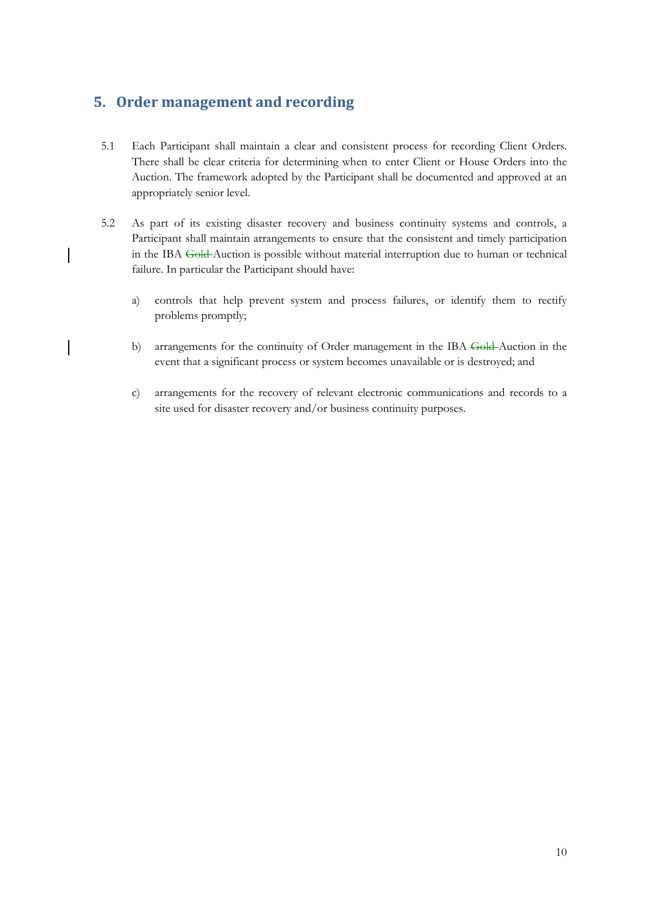# <span id="page-16-0"></span>**5. Order management and recording**

- 5.1 Each Participant shall maintain a clear and consistent process for recording Client Orders. There shall be clear criteria for determining when to enter Client or House Orders into the Auction. The framework adopted by the Participant shall be documented and approved at an appropriately senior level.
- 5.2 As part of its existing disaster recovery and business continuity systems and controls, a Participant shall maintain arrangements to ensure that the consistent and timely participation in the IBA Gold Auction is possible without material interruption due to human or technical failure. In particular the Participant should have:
	- a) controls that help prevent system and process failures, or identify them to rectify problems promptly;
	- b) arrangements for the continuity of Order management in the IBA Gold-Auction in the event that a significant process or system becomes unavailable or is destroyed; and
	- c) arrangements for the recovery of relevant electronic communications and records to a site used for disaster recovery and/or business continuity purposes.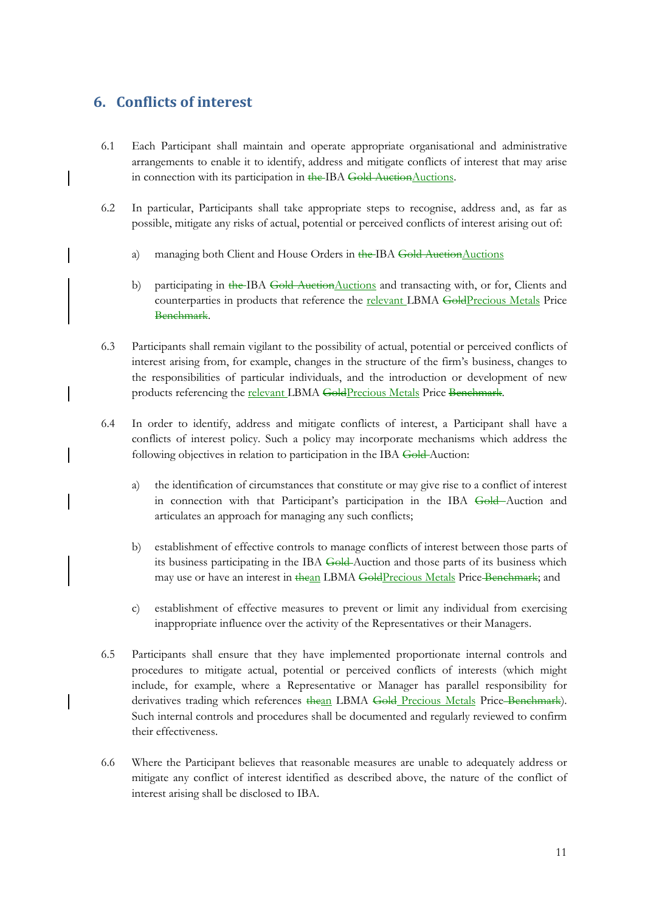# <span id="page-17-0"></span>**6. Conflicts of interest**

- 6.1 Each Participant shall maintain and operate appropriate organisational and administrative arrangements to enable it to identify, address and mitigate conflicts of interest that may arise in connection with its participation in the IBA Gold AuctionAuctions.
- 6.2 In particular, Participants shall take appropriate steps to recognise, address and, as far as possible, mitigate any risks of actual, potential or perceived conflicts of interest arising out of:
	- a) managing both Client and House Orders in the IBA Gold AuctionAuctions
	- b) participating in the IBA Gold AuctionAuctions and transacting with, or for, Clients and counterparties in products that reference the relevant LBMA GoldPrecious Metals Price Benchmark.
- 6.3 Participants shall remain vigilant to the possibility of actual, potential or perceived conflicts of interest arising from, for example, changes in the structure of the firm's business, changes to the responsibilities of particular individuals, and the introduction or development of new products referencing the **relevant LBMA** GoldPrecious Metals Price Benchmark.
- 6.4 In order to identify, address and mitigate conflicts of interest, a Participant shall have a conflicts of interest policy. Such a policy may incorporate mechanisms which address the following objectives in relation to participation in the IBA Gold Auction:
	- a) the identification of circumstances that constitute or may give rise to a conflict of interest in connection with that Participant's participation in the IBA Gold-Auction and articulates an approach for managing any such conflicts;
	- b) establishment of effective controls to manage conflicts of interest between those parts of its business participating in the IBA Gold-Auction and those parts of its business which may use or have an interest in thean LBMA GoldPrecious Metals Price Benchmark; and
	- c) establishment of effective measures to prevent or limit any individual from exercising inappropriate influence over the activity of the Representatives or their Managers.
- 6.5 Participants shall ensure that they have implemented proportionate internal controls and procedures to mitigate actual, potential or perceived conflicts of interests (which might include, for example, where a Representative or Manager has parallel responsibility for derivatives trading which references thean LBMA Gold Precious Metals Price-Benchmark). Such internal controls and procedures shall be documented and regularly reviewed to confirm their effectiveness.
- 6.6 Where the Participant believes that reasonable measures are unable to adequately address or mitigate any conflict of interest identified as described above, the nature of the conflict of interest arising shall be disclosed to IBA.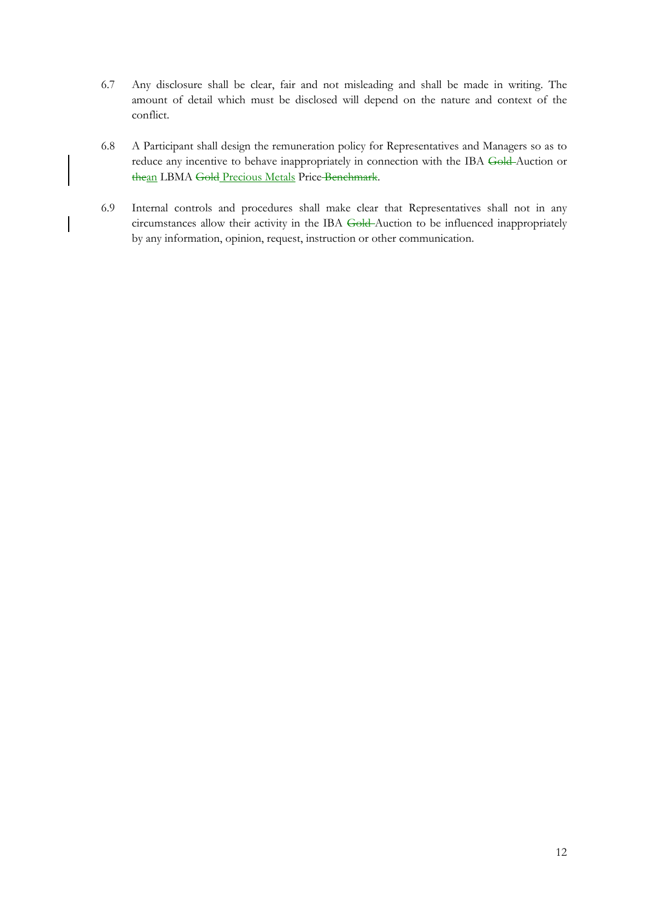- 6.7 Any disclosure shall be clear, fair and not misleading and shall be made in writing. The amount of detail which must be disclosed will depend on the nature and context of the conflict.
- 6.8 A Participant shall design the remuneration policy for Representatives and Managers so as to reduce any incentive to behave inappropriately in connection with the IBA Gold Auction or thean LBMA Gold Precious Metals Price Benchmark.
- 6.9 Internal controls and procedures shall make clear that Representatives shall not in any circumstances allow their activity in the IBA Gold Auction to be influenced inappropriately by any information, opinion, request, instruction or other communication.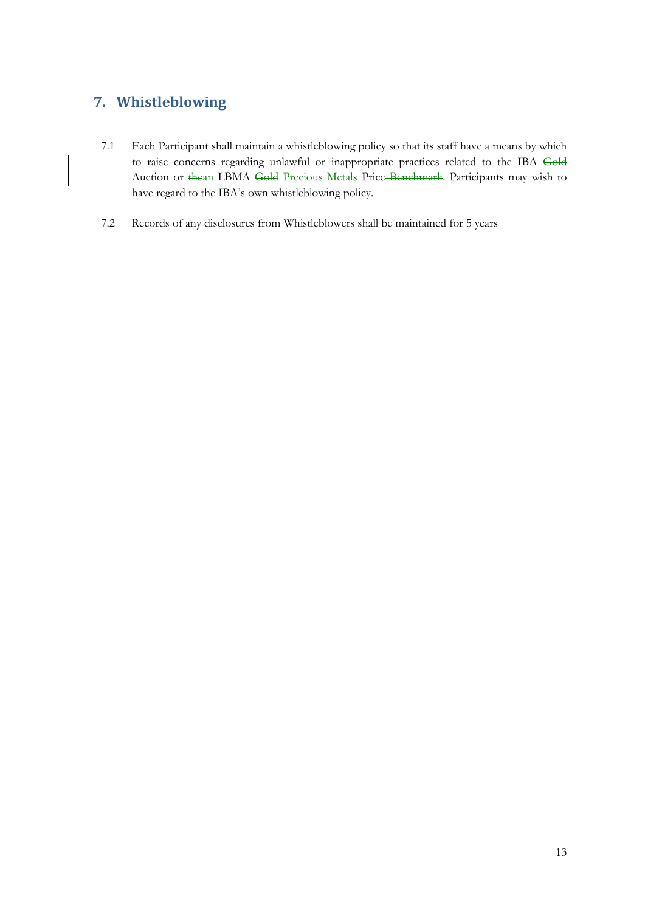# <span id="page-19-0"></span>**7. Whistleblowing**

 $\overline{\phantom{a}}$ 

- 7.1 Each Participant shall maintain a whistleblowing policy so that its staff have a means by which to raise concerns regarding unlawful or inappropriate practices related to the IBA Gold Auction or thean LBMA Gold Precious Metals Price-Benchmark. Participants may wish to have regard to the IBA's own whistleblowing policy.
- 7.2 Records of any disclosures from Whistleblowers shall be maintained for 5 years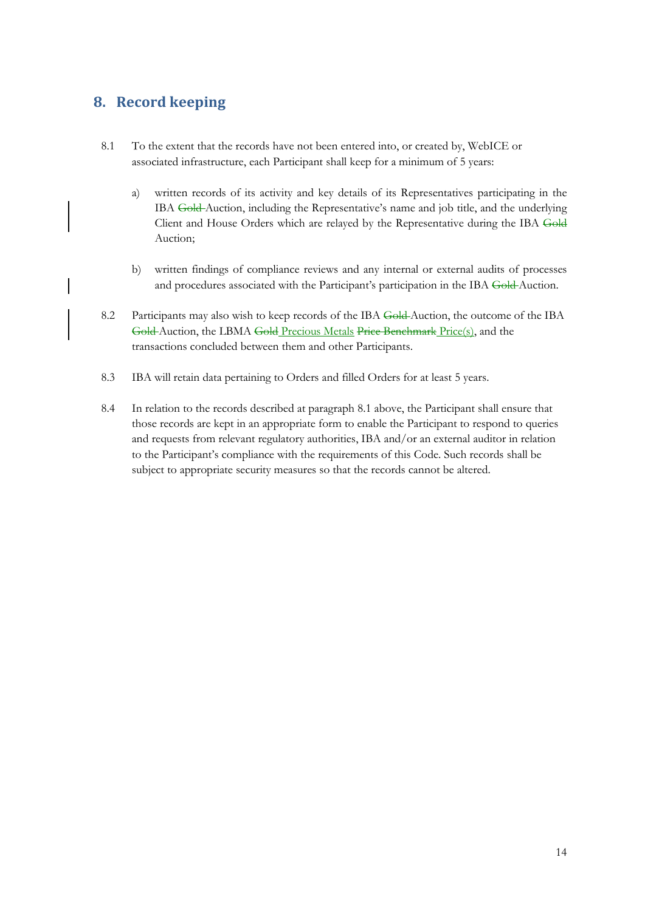# <span id="page-20-0"></span>**8. Record keeping**

- 8.1 To the extent that the records have not been entered into, or created by, WebICE or associated infrastructure, each Participant shall keep for a minimum of 5 years:
	- a) written records of its activity and key details of its Representatives participating in the IBA Gold-Auction, including the Representative's name and job title, and the underlying Client and House Orders which are relayed by the Representative during the IBA Gold Auction;
	- b) written findings of compliance reviews and any internal or external audits of processes and procedures associated with the Participant's participation in the IBA Gold-Auction.
- 8.2 Participants may also wish to keep records of the IBA Gold-Auction, the outcome of the IBA Gold Auction, the LBMA Gold Precious Metals Price Benchmark Price(s), and the transactions concluded between them and other Participants.
- 8.3 IBA will retain data pertaining to Orders and filled Orders for at least 5 years.
- 8.4 In relation to the records described at paragraph 8.1 above, the Participant shall ensure that those records are kept in an appropriate form to enable the Participant to respond to queries and requests from relevant regulatory authorities, IBA and/or an external auditor in relation to the Participant's compliance with the requirements of this Code. Such records shall be subject to appropriate security measures so that the records cannot be altered.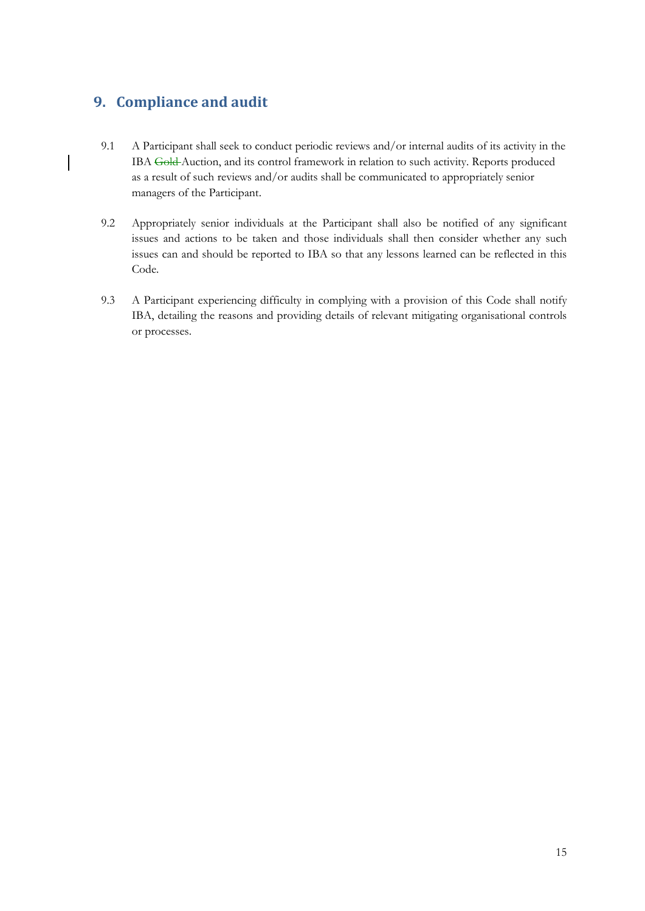# <span id="page-21-0"></span>**9. Compliance and audit**

- 9.1 A Participant shall seek to conduct periodic reviews and/or internal audits of its activity in the IBA Gold Auction, and its control framework in relation to such activity. Reports produced as a result of such reviews and/or audits shall be communicated to appropriately senior managers of the Participant.
- 9.2 Appropriately senior individuals at the Participant shall also be notified of any significant issues and actions to be taken and those individuals shall then consider whether any such issues can and should be reported to IBA so that any lessons learned can be reflected in this Code.
- 9.3 A Participant experiencing difficulty in complying with a provision of this Code shall notify IBA, detailing the reasons and providing details of relevant mitigating organisational controls or processes.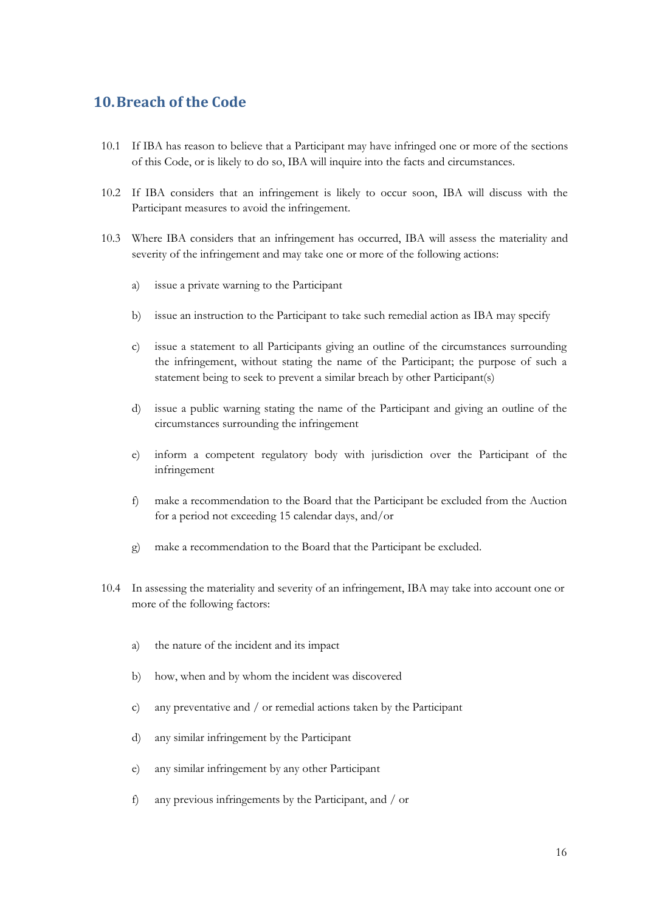## <span id="page-22-0"></span>**10.Breach of the Code**

- 10.1 If IBA has reason to believe that a Participant may have infringed one or more of the sections of this Code, or is likely to do so, IBA will inquire into the facts and circumstances.
- 10.2 If IBA considers that an infringement is likely to occur soon, IBA will discuss with the Participant measures to avoid the infringement.
- 10.3 Where IBA considers that an infringement has occurred, IBA will assess the materiality and severity of the infringement and may take one or more of the following actions:
	- a) issue a private warning to the Participant
	- b) issue an instruction to the Participant to take such remedial action as IBA may specify
	- c) issue a statement to all Participants giving an outline of the circumstances surrounding the infringement, without stating the name of the Participant; the purpose of such a statement being to seek to prevent a similar breach by other Participant(s)
	- d) issue a public warning stating the name of the Participant and giving an outline of the circumstances surrounding the infringement
	- e) inform a competent regulatory body with jurisdiction over the Participant of the infringement
	- f) make a recommendation to the Board that the Participant be excluded from the Auction for a period not exceeding 15 calendar days, and/or
	- g) make a recommendation to the Board that the Participant be excluded.
- 10.4 In assessing the materiality and severity of an infringement, IBA may take into account one or more of the following factors:
	- a) the nature of the incident and its impact
	- b) how, when and by whom the incident was discovered
	- c) any preventative and / or remedial actions taken by the Participant
	- d) any similar infringement by the Participant
	- e) any similar infringement by any other Participant
	- f) any previous infringements by the Participant, and / or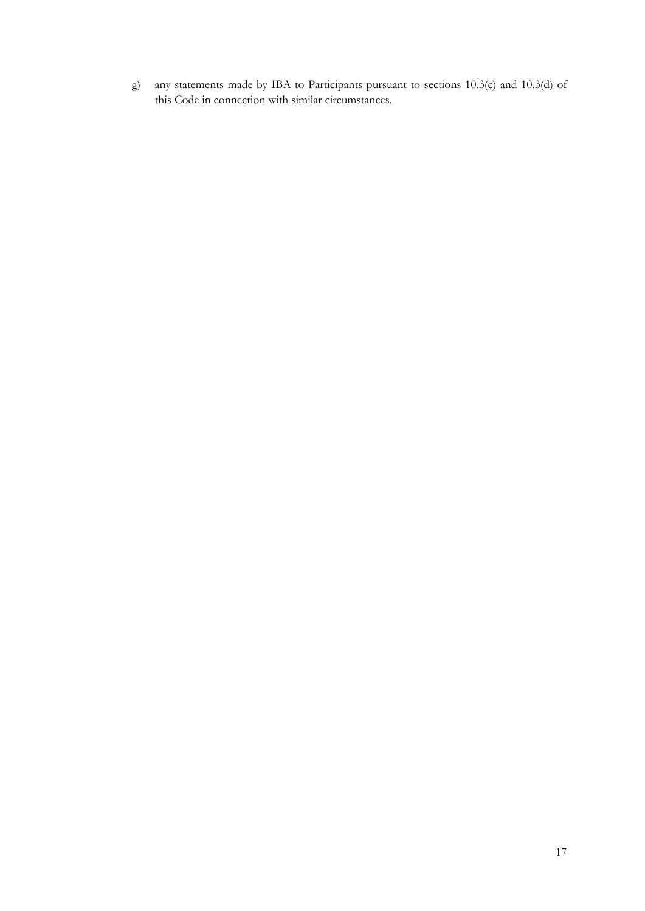g) any statements made by IBA to Participants pursuant to sections 10.3(c) and 10.3(d) of this Code in connection with similar circumstances.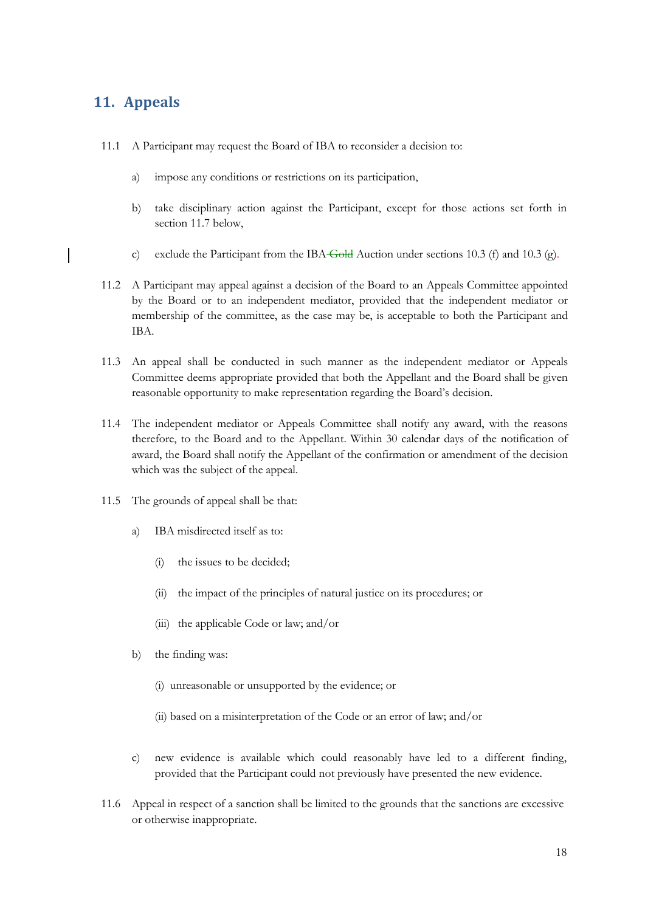## <span id="page-24-0"></span>**11. Appeals**

- 11.1 A Participant may request the Board of IBA to reconsider a decision to:
	- a) impose any conditions or restrictions on its participation,
	- b) take disciplinary action against the Participant, except for those actions set forth in section 11.7 below,
	- c) exclude the Participant from the IBA Gold Auction under sections 10.3 (f) and 10.3 (g).
- 11.2 A Participant may appeal against a decision of the Board to an Appeals Committee appointed by the Board or to an independent mediator, provided that the independent mediator or membership of the committee, as the case may be, is acceptable to both the Participant and IBA.
- 11.3 An appeal shall be conducted in such manner as the independent mediator or Appeals Committee deems appropriate provided that both the Appellant and the Board shall be given reasonable opportunity to make representation regarding the Board's decision.
- 11.4 The independent mediator or Appeals Committee shall notify any award, with the reasons therefore, to the Board and to the Appellant. Within 30 calendar days of the notification of award, the Board shall notify the Appellant of the confirmation or amendment of the decision which was the subject of the appeal.
- 11.5 The grounds of appeal shall be that:
	- a) IBA misdirected itself as to:
		- (i) the issues to be decided;
		- (ii) the impact of the principles of natural justice on its procedures; or
		- (iii) the applicable Code or law; and/or
	- b) the finding was:
		- (i) unreasonable or unsupported by the evidence; or
		- (ii) based on a misinterpretation of the Code or an error of law; and/or
	- c) new evidence is available which could reasonably have led to a different finding, provided that the Participant could not previously have presented the new evidence.
- 11.6 Appeal in respect of a sanction shall be limited to the grounds that the sanctions are excessive or otherwise inappropriate.